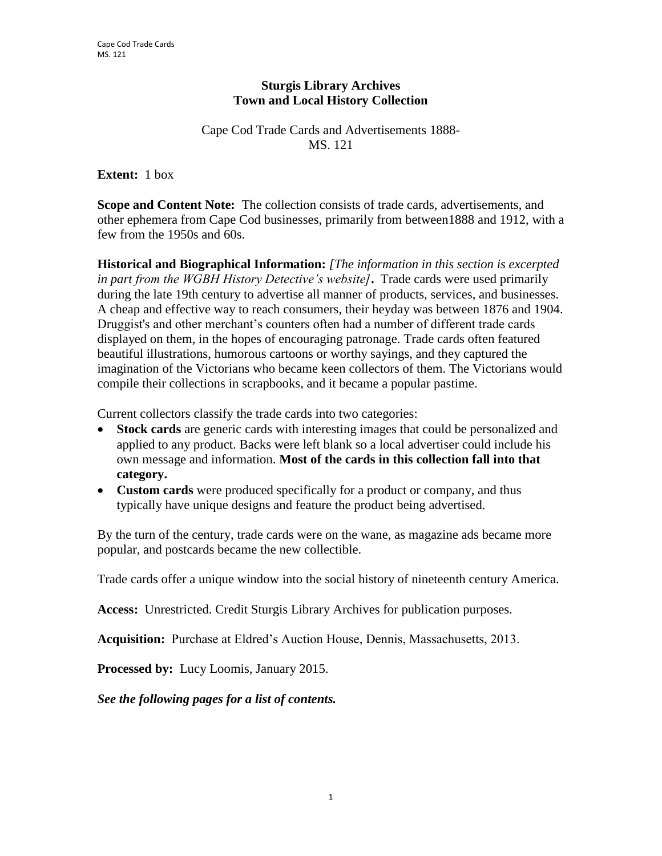## **Sturgis Library Archives Town and Local History Collection**

Cape Cod Trade Cards and Advertisements 1888- MS. 121

**Extent:** 1 box

**Scope and Content Note:** The collection consists of trade cards, advertisements, and other ephemera from Cape Cod businesses, primarily from between1888 and 1912, with a few from the 1950s and 60s.

**Historical and Biographical Information:** *[The information in this section is excerpted in part from the WGBH History Detective's website]***.** Trade cards were used primarily during the late 19th century to advertise all manner of products, services, and businesses. A cheap and effective way to reach consumers, their heyday was between 1876 and 1904. Druggist's and other merchant's counters often had a number of different trade cards displayed on them, in the hopes of encouraging patronage. Trade cards often featured beautiful illustrations, humorous cartoons or worthy sayings, and they captured the imagination of the Victorians who became keen collectors of them. The Victorians would compile their collections in scrapbooks, and it became a popular pastime.

Current collectors classify the trade cards into two categories:

- **Stock cards** are generic cards with interesting images that could be personalized and applied to any product. Backs were left blank so a local advertiser could include his own message and information. **Most of the cards in this collection fall into that category.**
- **Custom cards** were produced specifically for a product or company, and thus typically have unique designs and feature the product being advertised.

By the turn of the century, trade cards were on the wane, as magazine ads became more popular, and postcards became the new collectible.

Trade cards offer a unique window into the social history of nineteenth century America.

**Access:** Unrestricted. Credit Sturgis Library Archives for publication purposes.

**Acquisition:** Purchase at Eldred's Auction House, Dennis, Massachusetts, 2013.

**Processed by:** Lucy Loomis, January 2015.

*See the following pages for a list of contents.*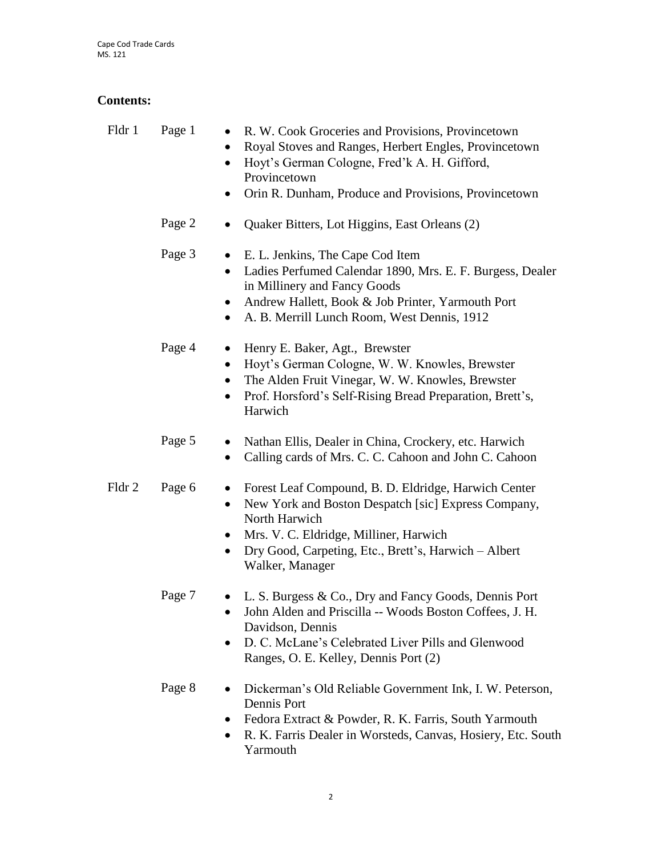## **Contents:**

| Fldr 1 | Page 1                                     | R. W. Cook Groceries and Provisions, Provincetown<br>Royal Stoves and Ranges, Herbert Engles, Provincetown<br>Hoyt's German Cologne, Fred'k A. H. Gifford,<br>Provincetown<br>Orin R. Dunham, Produce and Provisions, Provincetown                |
|--------|--------------------------------------------|---------------------------------------------------------------------------------------------------------------------------------------------------------------------------------------------------------------------------------------------------|
|        | Page 2                                     | Quaker Bitters, Lot Higgins, East Orleans (2)                                                                                                                                                                                                     |
|        | Page 3<br>$\bullet$<br>٠                   | E. L. Jenkins, The Cape Cod Item<br>Ladies Perfumed Calendar 1890, Mrs. E. F. Burgess, Dealer<br>in Millinery and Fancy Goods<br>Andrew Hallett, Book & Job Printer, Yarmouth Port<br>A. B. Merrill Lunch Room, West Dennis, 1912                 |
|        | Page 4<br>$\bullet$<br>$\bullet$           | Henry E. Baker, Agt., Brewster<br>Hoyt's German Cologne, W. W. Knowles, Brewster<br>The Alden Fruit Vinegar, W. W. Knowles, Brewster<br>Prof. Horsford's Self-Rising Bread Preparation, Brett's,<br>Harwich                                       |
|        | Page 5<br>$\bullet$                        | Nathan Ellis, Dealer in China, Crockery, etc. Harwich<br>Calling cards of Mrs. C. C. Cahoon and John C. Cahoon                                                                                                                                    |
| Fldr 2 | Page 6<br>٠<br>$\bullet$<br>٠<br>$\bullet$ | Forest Leaf Compound, B. D. Eldridge, Harwich Center<br>New York and Boston Despatch [sic] Express Company,<br>North Harwich<br>Mrs. V. C. Eldridge, Milliner, Harwich<br>Dry Good, Carpeting, Etc., Brett's, Harwich - Albert<br>Walker, Manager |
|        | Page 7<br>$\bullet$                        | L. S. Burgess & Co., Dry and Fancy Goods, Dennis Port<br>John Alden and Priscilla -- Woods Boston Coffees, J. H.<br>Davidson, Dennis<br>D. C. McLane's Celebrated Liver Pills and Glenwood<br>Ranges, O. E. Kelley, Dennis Port (2)               |
|        | $P_{30} \rho R$                            | $\Gamma$ Dickerman's Old Reliable Government $\Gamma$ Integration                                                                                                                                                                                 |

- Page 8 Dickerman's Old Reliable Government Ink, I. W. Peterson, Dennis Port
	- Fedora Extract & Powder, R. K. Farris, South Yarmouth
	- R. K. Farris Dealer in Worsteds, Canvas, Hosiery, Etc. South Yarmouth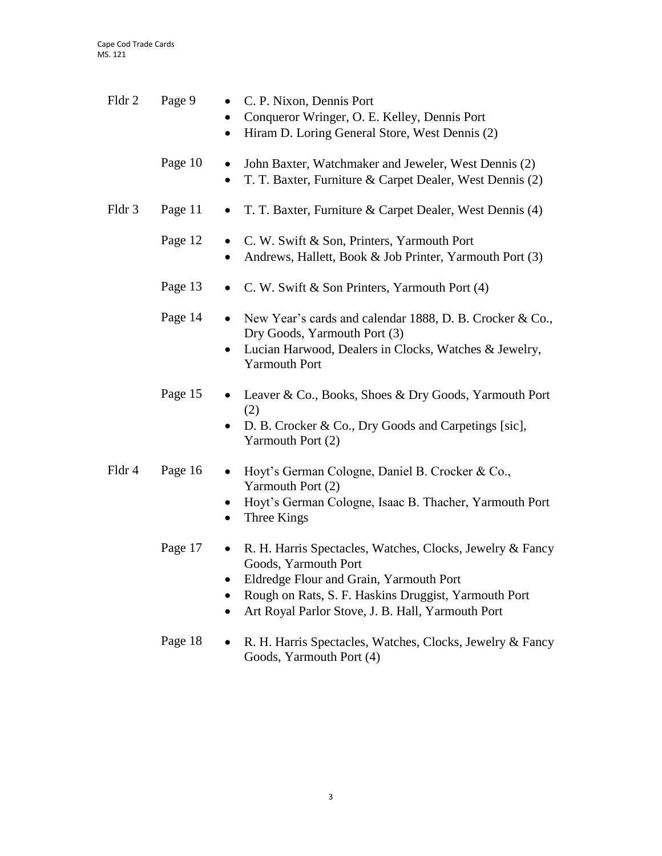| Fldr 2 | Page 9<br>$\bullet$<br>$\bullet$<br>$\bullet$ | C. P. Nixon, Dennis Port<br>Conqueror Wringer, O. E. Kelley, Dennis Port<br>Hiram D. Loring General Store, West Dennis (2)                                                                                                                |
|--------|-----------------------------------------------|-------------------------------------------------------------------------------------------------------------------------------------------------------------------------------------------------------------------------------------------|
|        | Page 10<br>$\bullet$                          | John Baxter, Watchmaker and Jeweler, West Dennis (2)<br>T. T. Baxter, Furniture & Carpet Dealer, West Dennis (2)                                                                                                                          |
| Fldr 3 | Page 11<br>$\bullet$                          | T. T. Baxter, Furniture & Carpet Dealer, West Dennis (4)                                                                                                                                                                                  |
|        | Page 12<br>$\bullet$<br>$\bullet$             | C. W. Swift & Son, Printers, Yarmouth Port<br>Andrews, Hallett, Book & Job Printer, Yarmouth Port (3)                                                                                                                                     |
|        | Page 13<br>$\bullet$                          | C. W. Swift & Son Printers, Yarmouth Port (4)                                                                                                                                                                                             |
|        | Page 14<br>$\bullet$<br>$\bullet$             | New Year's cards and calendar 1888, D. B. Crocker & Co.,<br>Dry Goods, Yarmouth Port (3)<br>Lucian Harwood, Dealers in Clocks, Watches & Jewelry,<br><b>Yarmouth Port</b>                                                                 |
|        | Page 15                                       | Leaver & Co., Books, Shoes & Dry Goods, Yarmouth Port<br>(2)<br>D. B. Crocker & Co., Dry Goods and Carpetings [sic],<br>Yarmouth Port (2)                                                                                                 |
| Fldr 4 | Page 16<br>$\bullet$                          | Hoyt's German Cologne, Daniel B. Crocker & Co.,<br>Yarmouth Port (2)<br>Hoyt's German Cologne, Isaac B. Thacher, Yarmouth Port<br>Three Kings                                                                                             |
|        | Page 17<br>$\bullet$<br>٠<br>$\bullet$        | R. H. Harris Spectacles, Watches, Clocks, Jewelry & Fancy<br>Goods, Yarmouth Port<br>Eldredge Flour and Grain, Yarmouth Port<br>Rough on Rats, S. F. Haskins Druggist, Yarmouth Port<br>Art Royal Parlor Stove, J. B. Hall, Yarmouth Port |

Page 18 • R. H. Harris Spectacles, Watches, Clocks, Jewelry & Fancy Goods, Yarmouth Port (4)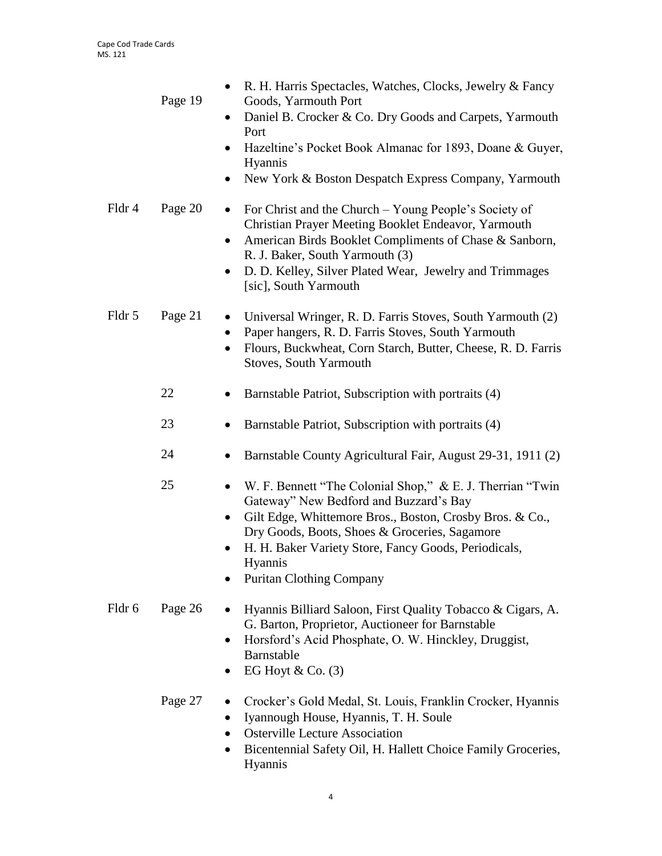|        | Page 19 | R. H. Harris Spectacles, Watches, Clocks, Jewelry & Fancy<br>$\bullet$<br>Goods, Yarmouth Port<br>Daniel B. Crocker & Co. Dry Goods and Carpets, Yarmouth<br>$\bullet$<br>Port<br>Hazeltine's Pocket Book Almanac for 1893, Doane & Guyer,<br>$\bullet$<br>Hyannis<br>New York & Boston Despatch Express Company, Yarmouth<br>٠          |
|--------|---------|------------------------------------------------------------------------------------------------------------------------------------------------------------------------------------------------------------------------------------------------------------------------------------------------------------------------------------------|
| Fldr 4 | Page 20 | For Christ and the Church - Young People's Society of<br>$\bullet$<br>Christian Prayer Meeting Booklet Endeavor, Yarmouth<br>American Birds Booklet Compliments of Chase & Sanborn,<br>$\bullet$<br>R. J. Baker, South Yarmouth (3)<br>D. D. Kelley, Silver Plated Wear, Jewelry and Trimmages<br>[sic], South Yarmouth                  |
| Fldr 5 | Page 21 | Universal Wringer, R. D. Farris Stoves, South Yarmouth (2)<br>٠<br>Paper hangers, R. D. Farris Stoves, South Yarmouth<br>٠<br>Flours, Buckwheat, Corn Starch, Butter, Cheese, R. D. Farris<br>$\bullet$<br><b>Stoves, South Yarmouth</b>                                                                                                 |
|        | 22      | Barnstable Patriot, Subscription with portraits (4)                                                                                                                                                                                                                                                                                      |
|        | 23      | Barnstable Patriot, Subscription with portraits (4)<br>٠                                                                                                                                                                                                                                                                                 |
|        | 24      | Barnstable County Agricultural Fair, August 29-31, 1911 (2)<br>$\bullet$                                                                                                                                                                                                                                                                 |
|        | 25      | W. F. Bennett "The Colonial Shop," & E. J. Therrian "Twin<br>$\bullet$<br>Gateway" New Bedford and Buzzard's Bay<br>Gilt Edge, Whittemore Bros., Boston, Crosby Bros. & Co.,<br>٠<br>Dry Goods, Boots, Shoes & Groceries, Sagamore<br>H. H. Baker Variety Store, Fancy Goods, Periodicals,<br>Hyannis<br><b>Puritan Clothing Company</b> |
| Fldr 6 | Page 26 | Hyannis Billiard Saloon, First Quality Tobacco & Cigars, A.<br>G. Barton, Proprietor, Auctioneer for Barnstable<br>Horsford's Acid Phosphate, O. W. Hinckley, Druggist,<br>Barnstable<br>EG Hoyt & Co. $(3)$                                                                                                                             |

## Page 27 • Crocker's Gold Medal, St. Louis, Franklin Crocker, Hyannis Iyannough House, Hyannis, T. H. Soule

- Osterville Lecture Association
- Bicentennial Safety Oil, H. Hallett Choice Family Groceries, Hyannis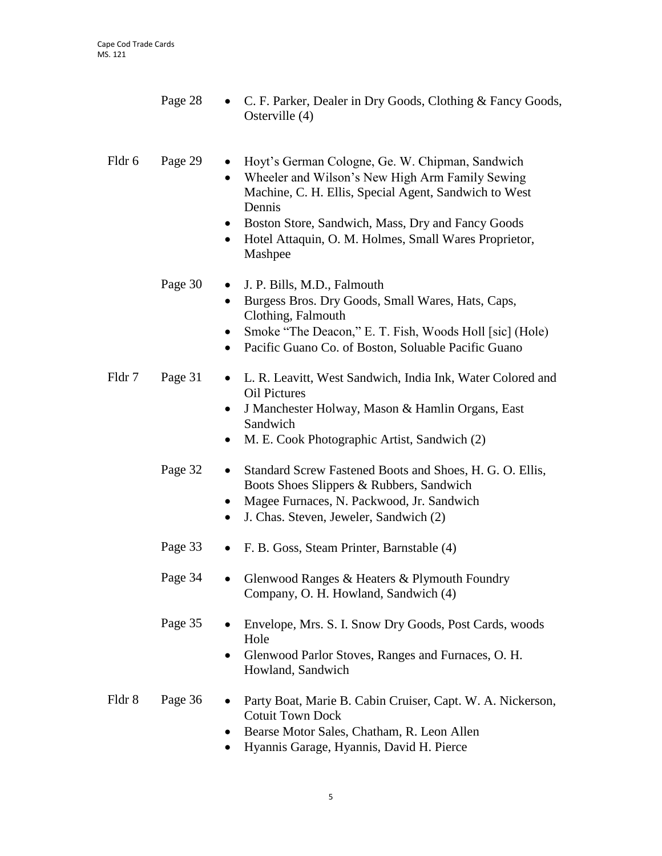- Page 28 C. F. Parker, Dealer in Dry Goods, Clothing & Fancy Goods, Osterville (4)
- Fldr 6 Page 29 Hoyt's German Cologne, Ge. W. Chipman, Sandwich
	- Wheeler and Wilson's New High Arm Family Sewing Machine, C. H. Ellis, Special Agent, Sandwich to West Dennis
	- Boston Store, Sandwich, Mass, Dry and Fancy Goods
	- Hotel Attaquin, O. M. Holmes, Small Wares Proprietor, Mashpee
	- Page 30 J. P. Bills, M.D., Falmouth
		- Burgess Bros. Dry Goods, Small Wares, Hats, Caps, Clothing, Falmouth
		- Smoke "The Deacon," E. T. Fish, Woods Holl [sic] (Hole)
		- Pacific Guano Co. of Boston, Soluable Pacific Guano
- Fldr 7 Page 31 L. R. Leavitt, West Sandwich, India Ink, Water Colored and Oil Pictures
	- J Manchester Holway, Mason & Hamlin Organs, East Sandwich
	- M. E. Cook Photographic Artist, Sandwich (2)
	- Page 32 Standard Screw Fastened Boots and Shoes, H. G. O. Ellis, Boots Shoes Slippers & Rubbers, Sandwich
		- Magee Furnaces, N. Packwood, Jr. Sandwich
		- J. Chas. Steven, Jeweler, Sandwich (2)
	- Page 33 F. B. Goss, Steam Printer, Barnstable (4)
	- Page 34 Glenwood Ranges & Heaters & Plymouth Foundry Company, O. H. Howland, Sandwich (4)
	- Page 35 Envelope, Mrs. S. I. Snow Dry Goods, Post Cards, woods Hole
		- Glenwood Parlor Stoves, Ranges and Furnaces, O. H. Howland, Sandwich
- Fldr 8 Page 36 Party Boat, Marie B. Cabin Cruiser, Capt. W. A. Nickerson, Cotuit Town Dock
	- Bearse Motor Sales, Chatham, R. Leon Allen
	- Hyannis Garage, Hyannis, David H. Pierce